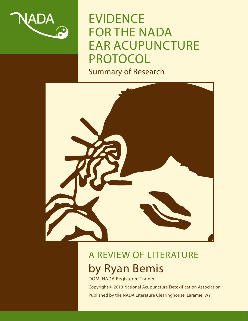

# EVIDENCE FOR THE NADA EAR ACUPUNCTURE PROTOCOL



# A REVIEW OF LITERATURE by Ryan Bemis

DOM, NADA Registered Trainer

Copyright © 2013 National Acupuncture Detoxification Association Published by the NADA Literature Clearinghouse, Laramie, WY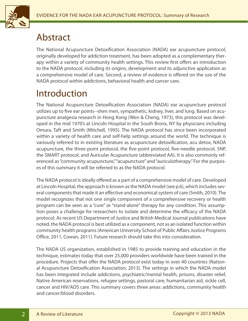

### Abstract

The National Acupuncture Detoxification Association (NADA) ear acupuncture protocol, originally developed for addiction treatment, has been adopted as a complementary therapy within a variety of community health settings. This review first offers an introduction to the NADA protocol, including its origins, development and its adjunctive application as a comprehensive model of care. Second, a review of evidence is offered on the use of the NADA protocol within addictions, behavioral health and cancer care.

## Introduction

The National Acupuncture Detoxification Association (NADA) ear acupuncture protocol utilizes up to five ear points--shen men, sympathetic, kidney, liver, and lung. Based on acupuncture analgesia research in Hong Kong (Wen & Cheng, 1973), this protocol was developed in the mid 1970's at Lincoln Hospital in the South Bronx, NY by physicians including Omura, Taft and Smith (Mitchell, 1995). The NADA protocol has since been incorporated within a variety of health care and self-help settings around the world. The technique is variously referred to in existing literature as acupuncture detoxification, acu detox, NADA acupuncture, the three-point protocol, the five-point protocol, five-needle protocol, 5NP, the SMART protocol, and Auricular Acupuncture (abbreviated AA). It is also commonly referenced as "community acupuncture," "acupuncture" and "auriculotherapy." For the purposes of this summary it will be referred to as the NADA protocol.

The NADA protocol is ideally offered as a part of a comprehensive model of care. Developed at Lincoln Hospital, the approach is known as the NADA model (see p.6), which includes several components that made it an effective and economical system of care (Smith, 2010). The model recognizes that not one single component of a comprehensive recovery or health program can be seen as a "cure" or "stand-alone" therapy for any condition. This assumption poses a challenge for researchers to isolate and determine the efficacy of the NADA protocol. As recent US Department of Justice and British Medical Journal publications have noted, the NADA protocol is best utilized as a component, not as an isolated function within community health programs (American University School of Public Affairs Justice Programs Office, 2011, Cowan, 2011). Future research should take this into consideration.

The NADA US organization, established in 1985 to provide training and education in the technique, estimates today that over 25,000 providers worldwide have been trained in the procedure. Projects that offer the NADA protocol exist today in over 40 countries (National Acupuncture Detoxification Association, 2013). The settings in which the NADA model has been integrated include addictions, psychiatric/mental health, prisons, disaster relief, Native American reservations, refugee settings, pastoral care, humanitarian aid, sickle cell, cancer and HIV/ADS care. This summary covers three areas: addictions, community health and cancer/blood disorders.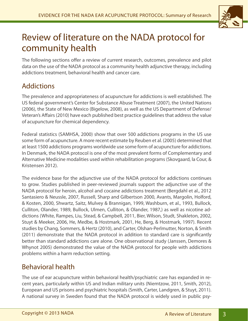

### Review of literature on the NADA protocol for community health

The following sections offer a review of current research, outcomes, prevalence and pilot data on the use of the NADA protocol as a community health adjunctive therapy, including addictions treatment, behavioral health and cancer care.

### Addictions

The prevalence and appropriateness of acupuncture for addictions is well established. The US federal government's Center for Substance Abuse Treatment (2007), the United Nations (2006), the State of New Mexico (Bigelow, 2008), as well as the US Department of Defense/ Veteran's Affairs (2010) have each published best practice guidelines that address the value of acupuncture for chemical dependency.

Federal statistics (SAMHSA, 2000) show that over 500 addictions programs in the US use some form of acupuncture. A more recent estimate by Reuben et al. (2005) determined that at least 1500 addictions programs worldwide use some form of acupuncture for addictions. In Denmark, the NADA protocol is one of the most prevalent forms of Complementary and Alternative Medicine modalities used within rehabilitation programs (Skovgaard, la Cour, & Kristensen 2012).

The evidence base for the adjunctive use of the NADA protocol for addictions continues to grow. Studies published in peer-reviewed journals support the adjunctive use of the NADA protocol for heroin, alcohol and cocaine addictions treatment (Bergdahl et al., 2012 Santasiero & Neussle, 2007, Russell, Sharp and Gilbertson 2000, Avants, Margolin, Holford, & Kosten, 2000, Shwartz, Saitz, Mulvey & Brannigan, 1999, Washburn, et al., 1993, Bullock, Culliton, Olander, 1989, Bullock, Ulmen, Culliton, & Olander, 1987,) as well as nicotine addictions (White, Rampes, Liu, Stead, & Campbell, 2011, Bier, Wilson, Studt, Shakleton, 2002, Stuyt & Meeker, 2006, He, Medbe, & Hostmark, 2001, He, Berg, & Hostmark, 1997). Recent studies by Chang, Sommers, & Hertz (2010), and Carter, Olshan-Perlmutter, Norton, & Smith (2011) demonstrate that the NADA protocol in addition to standard care is significantly better than standard addictions care alone. One observational study (Janssen, Demores & Whynot 2005) demonstrated the value of the NADA protocol for people with addictions problems within a harm reduction setting.

### Behavioral health

The use of ear acupuncture within behavioral health/psychiatric care has expanded in recent years, particularly within US and Indian military units (Niemtzow, 2011, Smith, 2012), European and US prisons and psychiatric hospitals (Smith, Carter, Landgren, & Stuyt, 2011). A national survey in Sweden found that the NADA protocol is widely used in public psy-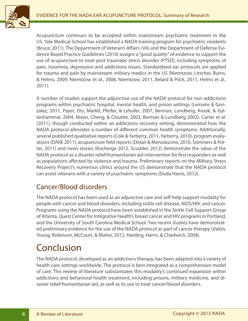

Acupuncture continues to be accepted within mainstream psychiatric treatment in the US. Yale Medical School has established a NADA training program for psychiatric residents (Bruce, 2011). The Department of Veteran's Affairs (VA) and the Department of Defense Evidence Based Practice Guidelines (2010) assigns a "good quality" of evidence to support the use of acupuncture to treat post traumatic stress disorder (PTSD), including symptoms of pain, insomnia, depression and addictions issues. Standardized ear protocols are applied for trauma and pain by mainstream military medics in the US (Niemtzow, Litscher, Burns, & Helms, 2009, Niemtzow et al., 2008, Niemtzow, 2011, Belard & Pock, 2011, Helms et al., 2011).

A number of studies support the adjunctive use of the NADA protocol for non-addictions programs within psychiatric hospital, mental health, and prison settings (Lemaire & Gonzalez, 2011, Payer, Ots, Marktl, Pfeifer, & Lehofer, 2007, Berman, Lundberg, Krook, & Gyllenhammar, 2004, Nixon, Cheng, & Cloutier, 2003, Berman & Lundberg 2002). Carter et al. (2011), though conducted within an addictions recovery setting, demonstrated how the NADA protocol alleviates a number of different common health symptoms. Additionally, several published qualitative reports (Cole & Yarberry, 2011, Yarberry, 2010), program evaluations (DARE 2011), acupuncture field reports (Dolan & Menolascino, 2010, Sommers & Porter, 2011) and news stories (Kocherga 2012, Scudder, 2012) demonstrate the value of the NADA protocol as a disaster relief/humanitarian aid intervention for first responders as well as populations affected by violence and trauma. Preliminary reports on the Military Stress Recovery Project's numerous clinics around the US demonstrate that the NADA protocol can assist veterans with a variety of psychiatric symptoms (Duda Harris, 2012).

### Cancer/Blood disorders

The NADA protocol has been used as an adjunctive care and self-help support modality for people with cancer and blood disorders, including sickle cell disease, AIDS/HIV, and cancer. Programs using the NADA protocol have been established in the Sickle Cell Support Group of Atlanta, Quest Center for Integrative Health's breast cancer and HIV programs in Portland, and the University of South Carolina Medical School. Two recent studies have demonstrated preliminary evidence for the use of the NADA protocol as part of cancer therapy (Valois, Young, Robinson, McCourt, & Maher, 2012, Harding, Harris, & Chadwich, 2008).

### Conclusion

The NADA protocol, developed as an addictions therapy, has been adapted into a variety of health care settings worldwide. The protocol is best integrated as a comprehensive model of care. This review of literature substantiates this modality's continued expansion within addictions and behavioral health treatment, including prisons, military medicine, and disaster relief/humanitarian aid, as well as its use to treat cancer/blood disorders.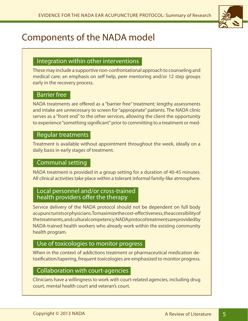

# Components of the NADA model

#### Integration within other interventions

These may include a supportive non-confrontational approach to counseling and medical care; an emphasis on self help, peer mentoring and/or 12 step groups early in the recovery process.

#### Barrier free

NADA treatments are offered as a "barrier free" treatment; lengthy assessments and intake are unnecessary to screen for "appropriate" patients. The NADA clinic serves as a "front end" to the other services, allowing the client the opportunity to experience "something significant" prior to committing to a treatment or med-

#### Regular treatments

Treatment is available without appointment throughout the week, ideally on a daily basis in early stages of treatment.

#### Communal setting

NADA treatment is provided in a group setting for a duration of 40-45 minutes. All clinical activities take place within a tolerant informal family-like atmosphere.

#### Local personnel and/or cross-trained health providers offer the therapy

Service delivery of the NADA protocol should not be dependent on full body acupuncturists or physicians. To maximize the cost-effectiveness, the accessibility of the treatments, and cultural competency, NADA protocol treatments are provided by NADA-trained health workers who already work within the existing community health program.

#### Use of toxicologies to monitor progress

When in the context of addictions treatment or pharmaceutical medication detoxification/tapering, frequent toxicologies are emphasized to monitor progress.

#### Collaboration with court-agencies

Clinicians have a willingness to work with court-related agencies, including drug court, mental health court and veteran's court.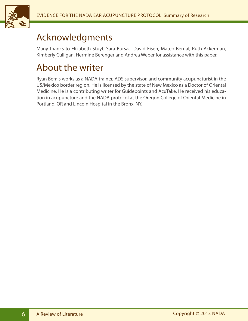

### Acknowledgments

Many thanks to Elizabeth Stuyt, Sara Bursac, David Eisen, Mateo Bernal, Ruth Ackerman, Kimberly Culligan, Hermine Berenger and Andrea Weber for assistance with this paper.

### About the writer

Ryan Bemis works as a NADA trainer, ADS supervisor, and community acupuncturist in the US/Mexico border region. He is licensed by the state of New Mexico as a Doctor of Oriental Medicine. He is a contributing writer for Guidepoints and AcuTake. He received his education in acupuncture and the NADA protocol at the Oregon College of Oriental Medicine in Portland, OR and Lincoln Hospital in the Bronx, NY.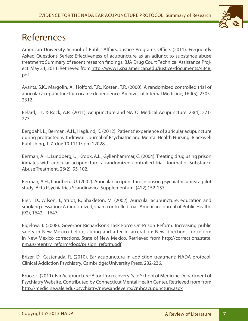

### References

American University School of Public Affairs, Justice Programs Office. (2011). Frequently Asked Questions Series: Effectiveness of acupuncture as an adjunct to substance abuse treatment: Summary of recent research findings. BJA Drug Court Technical Assistance Project. May 24, 2011. Retrieved from http://www1.spa.american.edu/justice/documents/4348. pdf

Avants, S.K., Margolin, A., Holford, T.R., Kosten, T.R. (2000). A randomized controlled trial of auricular acupuncture for cocaine dependence. Archives of Internal Medicine, 160(5), 2305- 2312.

Belard, J.L. & Rock, A.R. (2011). Acupuncture and NATO. Medical Acupuncture. 23(4), 271- 273.

Bergdahl, L., Berman, A.H., Haglund, K. (2012). Patients' experience of auricular acupuncture during protracted withdrawal. Journal of Psychiatric and Mental Health Nursing. Blackwell Publishing, 1-7. doi: 10.1111/jpm.12028

Berman, A.H., Lundberg, U., Krook, A.L., Gyllenhammar, C. (2004). Treating drug using prison inmates with auricular acupuncture: a randomized controlled trial. Journal of Substance Abuse Treatment. 26(2), 95-102.

Berman, A.H., Lundberg, U. (2002). Auricular acupuncture in prison psychiatric units: a pilot study. Acta Psychiatrica Scandinavica Supplementum. (412),152-157.

Bier, I.D., Wilson, J., Studt, P., Shakleton, M. (2002). Auricular acupuncture, education and smoking cessation: A randomized, sham controlled trial. American Journal of Public Health. (92), 1642 – 1647.

Bigelow, J. (2008). Governor Richardson's Task Force On Prison Reform. Increasing public safety in New Mexico before, curing and after incarceration: New directions for reform in New Mexico corrections. State of New Mexico. Retrieved from http://corrections.state. nm.us/reentry\_reform/docs/prision\_reform.pdf

Brizer, D., Castenada, R. (2010). Ear acupuncture in addiction treatment: NADA protocol. Clinical Addiction Psychiatry. Cambridge: University Press, 232-236.

Bruce, L. (2011). Ear Acupuncture: A tool for recovery. Yale School of Medicine Department of Psychiatry Website. Contributed by Connecticut Mental Health Center. Retrieved from from http://medicine.yale.edu/psychiatry/newsandevents/cmhcacupuncture.aspx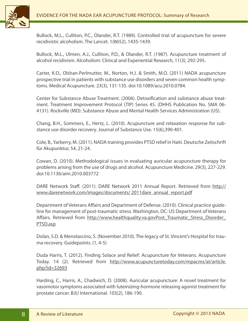

Bullock, M.L., Culliton, P.C., Olander, R.T. (1989). Controlled trial of acupuncture for severe recidivistic alcoholism. The Lancet. 1(8652), 1435-1439.

Bullock, M.L., Ulmen, A.J., Culliton, P.D., & Olander, R.T. (1987). Acupuncture treatment of alcohol recidivism. Alcoholism: Clinical and Experiential Research, 11(3), 292-295.

Carter, K.O., Olshan-Perlmutter, M., Norton, H.J. & Smith, M.O. (2011) NADA acupuncture prospective trial in patients with substance use disorders and seven common health symptoms. Medical Acupuncture. 23(3), 131-135. doi:10.1089/acu.2010.0784.

Center for Substance Abuse Treatment. (2006). Detoxification and substance abuse treatment. Treatment Improvement Protocol (TIP) Series 45. (DHHS Publication No. SMA 06- 4131). Rockville (MD): Substance Abuse and Mental Health Services Administration (US).

Chang, B.H., Sommers, E., Hertz, L. (2010). Acupuncture and relaxation response for substance use disorder recovery. Journal of Substance Use. 15(6),390-401.

Cole, B., Yarberry, M. (2011). NADA training provides PTSD relief in Haiti. Deutsche Zeitschrift für Akupunktur, 54, 21-24.

Cowan, D. (2010). Methodological issues in evaluating auricular acupuncture therapy for problems arising from the use of drugs and alcohol. Acupuncture Medicine. 29(3), 227-229. doi:10.1136/aim.2010.003772

DARE Network Staff. (2011). DARE Network 2011 Annual Report. Retrieved from http:// www.darenetwork.com/images/documents/2011dare\_annual\_report.pdf

Department of Veterans Affairs and Department of Defense. (2010). Clinical practice guideline for management of post-traumatic stress. Washington, DC: US Department of Veterans Affairs. Retrieved from http://www.healthquality.va.govPost Traumatic Stress Disorder PTSD.asp

Dolan, S.D. & Menolascino, S. (November 2010). The legacy of St. Vincent's Hospital for trauma recovery. Guidepoints. (1, 4-5)

Duda Harris, T. (2012). Finding Solace and Relief: Acupuncture for Veterans. Acupuncture Today. 14 (2). Retrieved from http://www.acupuncturetoday.com/mpacms/at/article. php?id=32693

Harding, C., Harris, A., Chadwich, D. (2008). Auricular acupuncture: A novel treatment for vasomotor symptoms associated with luteinizing-hormone releasing agonist treatment for prostate cancer. BJU International. 103(2), 186-190.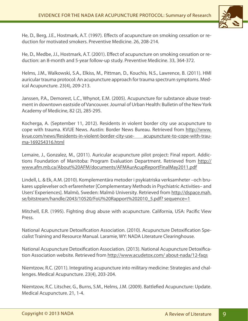

He, D., Berg, J.E., Hostmark, A.T. (1997). Effects of acupuncture on smoking cessation or reduction for motivated smokers. Preventive Medicine. 26, 208-214.

He, D., Medbe, J.I., Hostmark, A.T. (2001). Effect of acupuncture on smoking cessation or reduction: an 8-month and 5-year follow-up study. Preventive Medicine. 33, 364-372.

Helms, J.M., Walkowski, S.A., Elkiss, M., Pittman, D., Kouchis, N.S., Lawrence, B. (2011). HMI auricular trauma protocol: An acupuncture approach for trauma spectrum symptoms. Medical Acupuncture. 23(4), 209-213.

Janssen, P.A., Demorest, L.C., Whynot, E.M. (2005). Acupuncture for substance abuse treatment in downtown eastside of Vancouver. Journal of Urban Health: Bulletin of the New York Academy of Medicine, 82 (2), 285-295.

Kocherga, A. (September 11, 2012). Residents in violent border city use acupuncture to cope with trauma. KVUE News. Austin: Border News Bureau. Retrieved from http://www. kvue.com/news/Residents-in-violent-border-city-use- acupuncture-to-cope-with-trauma-169254316.html

Lemaire, J., Gonzalez, M., (2011). Auricular acupuncture pilot project: Final report. Addictions Foundation of Manitoba: Program Evaluation Department. Retrieved from http:// www.afm.mb.ca/About%20AFM/documents/AFMAurAcupReportFinalMay2011.pdf

Lindell, L. & Ek, A.M. (2010). Komplementära metoder i psykiatriska verksamheter –och brukares upplevelser och erfarenheter [Complementary Methods in Psychiatric Activities– and Users' Experiences]. Malmö, Sweden: Malmö University. Retrieved from http://dspace.mah. se/bitstream/handle/2043/10520/FoU%20Rapport%202010\_5.pdf? sequence=1

Mitchell, E.R. (1995). Fighting drug abuse with acupuncture. California, USA: Pacific View Press.

National Acupuncture Detoxification Association. (2010). Acupuncture Detoxification Specialist Training and Resource Manual. Laramie, WY: NADA Literature Clearinghouse.

National Acupuncture Detoxification Association. (2013). National Acupuncture Detoxification Association website. Retrieved from http://www.acudetox.com/ about-nada/12-faqs

Niemtzow, R.C. (2011). Integrating acupuncture into military medicine: Strategies and challenges. Medical Acupuncture. 23(4), 203-204.

Niemtzow, R.C. Litscher, G., Burns, S.M., Helms, J.M. (2009). Battlefied Acupuncture: Update. Medical Acupuncture. 21, 1-4.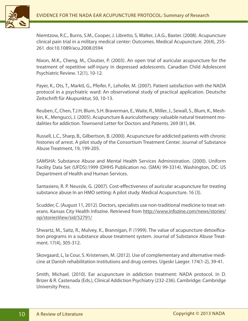

Niemtzow, R.C., Burns, S.M., Cooper, J. Libretto, S, Walter, J.A.G., Baxter. (2008). Acupuncture clinical pain trial in a military medical center: Outcomes. Medical Acupuncture. 20(4), 255- 261. doi:10.1089/acu.2008.0594

Nixon, M.K., Cheng, M., Cloutier, P. (2003). An open trial of auricular acupuncture for the treatment of repetitive self-injury in depressed adolescents. Canadian Child Adolescent Psychiatric Review. 12(1), 10-12.

Payer, K., Ots, T., Marktl, G., Pfeifer, F., Lehofer, M. (2007). Patient satisfaction with the NADA protocol in a psychiatric ward: An observational study of practical application. Deutsche Zeitschrift für Akupunktur, 50, 10-13.

Reuben, C, Chen, T.J.H, Blum, S.H. Braverman, E., Waite, R., Miller, J., Sewall, S., Blum, K., Meshkin, K., Mengucci, J. (2005). Acupuncture & auriculotherapy: valuable natural treatment modalities for addiction. Townsend Letter for Doctors and Patients. 269 (81), 84.

Russell, L.C., Sharp, B., Gilbertson, B. (2000). Acupuncture for addicted patients with chronic histories of arrest. A pilot study of the Consortium Treatment Center. Journal of Substance Abuse Treatment, 19, 199-205.

SAMSHA: Substance Abuse and Mental Health Services Administration. (2000). Uniform Facility Data Set (UFDS):1999 (DHHS Publication no. (SMA) 99-3314). Washington, DC: US Department of Health and Human Services.

Santasiero, R. P. Neussle, G. (2007). Cost-effectiveness of auricular acupuncture for treating substance abuse In an HMO setting: A pilot study. Medical Acupuncture. 16 (3).

Scudder, C. (August 11, 2012). Doctors, specialists use non-traditional medicine to treat veterans. Kansas City Health Infozine. Retrieved from http://www.infozine.com/news/stories/ op/storiesView/sid/52791/

Shwartz, M., Saitz, R., Mulvey, K., Brannigan, P. (1999). The value of acupuncture detoxification programs in a substance abuse treatment system. Journal of Substance Abuse Treatment. 17(4), 305-312.

Skovgaard, L, la Cour, S. Kristensen, M. (2012). Use of complementary and alternative medicine at Danish rehabilitation institutions and drug centres. Ugeskr Laeger. 174(1-2), 39-41.

Smith, Michael. (2010). Ear acupuncture in addiction treatment: NADA protocol. In D. Brizer & R. Castenada (Eds.), Clinical Addiction Psychiatry (232-236). Cambridge: Cambridge University Press.